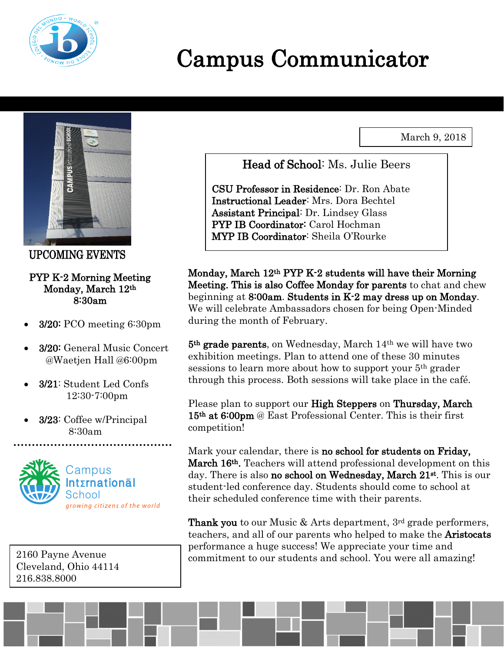

# Campus Communicator

March 9, 2018



UPCOMING EVENTS

#### PYP K-2 Morning Meeting Monday, March 12th 8:30am

- 3/20: PCO meeting 6:30pm
- 3/20: General Music Concert @Waetjen Hall @6:00pm
- 3/21: Student Led Confs 12:30-7:00pm
- 3/23: Coffee w/Principal 8:30am



2160 Payne Avenue Cleveland, Ohio 44114 216.838.8000

Head of School: Ms. Julie Beers

CSU Professor in Residence: Dr. Ron Abate Instructional Leader: Mrs. Dora Bechtel Assistant Principal: Dr. Lindsey Glass PYP IB Coordinator: Carol Hochman MYP IB Coordinator: Sheila O'Rourke

Monday, March 12th PYP K-2 students will have their Morning Meeting. This is also Coffee Monday for parents to chat and chew beginning at 8:00am. Students in K-2 may dress up on Monday. We will celebrate Ambassadors chosen for being Open-Minded during the month of February.

5th grade parents, on Wednesday, March 14th we will have two exhibition meetings. Plan to attend one of these 30 minutes sessions to learn more about how to support your 5th grader through this process. Both sessions will take place in the café.

Please plan to support our **High Steppers** on **Thursday**, March 15th at 6:00pm @ East Professional Center. This is their first competition!

Mark your calendar, there is no school for students on Friday, March 16<sup>th</sup>. Teachers will attend professional development on this day. There is also no school on Wednesday, March 21<sup>st</sup>. This is our student-led conference day. Students should come to school at their scheduled conference time with their parents.

**Thank you** to our Music  $\&$  Arts department, 3<sup>rd</sup> grade performers, teachers, and all of our parents who helped to make the Aristocats performance a huge success! We appreciate your time and commitment to our students and school. You were all amazing!